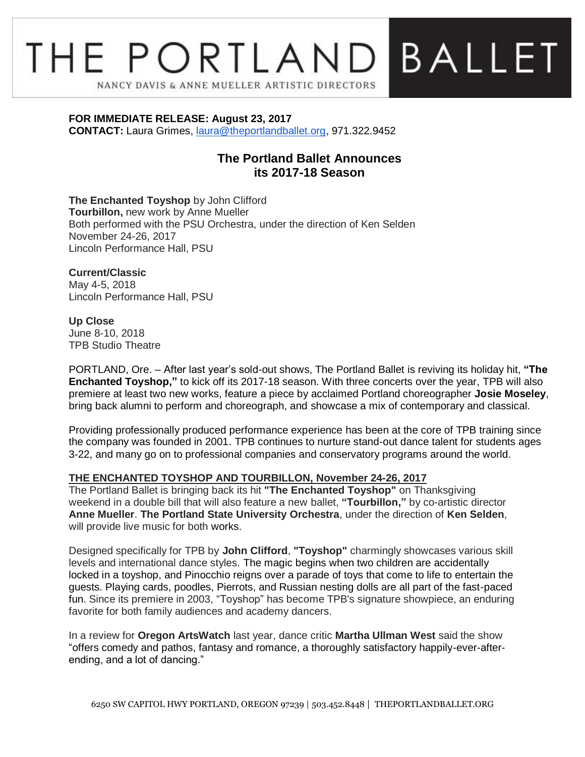# THE PORTLAND BALLET NANCY DAVIS & ANNE MUELLER ARTISTIC DIRECTORS

**FOR IMMEDIATE RELEASE: August 23, 2017**

**CONTACT:** Laura Grimes, [laura@theportlandballet.org,](mailto:laura@theportlandballet.org) 971.322.9452

## **The Portland Ballet Announces its 2017-18 Season**

**The Enchanted Toyshop** by John Clifford **Tourbillon,** new work by Anne Mueller Both performed with the PSU Orchestra, under the direction of Ken Selden November 24-26, 2017 Lincoln Performance Hall, PSU

**Current/Classic** May 4-5, 2018 Lincoln Performance Hall, PSU

#### **Up Close**

June 8-10, 2018 TPB Studio Theatre

PORTLAND, Ore. – After last year's sold-out shows, The Portland Ballet is reviving its holiday hit, **"The Enchanted Toyshop,"** to kick off its 2017-18 season. With three concerts over the year, TPB will also premiere at least two new works, feature a piece by acclaimed Portland choreographer **Josie Moseley**, bring back alumni to perform and choreograph, and showcase a mix of contemporary and classical.

Providing professionally produced performance experience has been at the core of TPB training since the company was founded in 2001. TPB continues to nurture stand-out dance talent for students ages 3-22, and many go on to professional companies and conservatory programs around the world.

### **THE ENCHANTED TOYSHOP AND TOURBILLON, November 24-26, 2017**

The Portland Ballet is bringing back its hit **"The Enchanted Toyshop"** on Thanksgiving weekend in a double bill that will also feature a new ballet, **"Tourbillon,"** by co-artistic director **Anne Mueller**. **The Portland State University Orchestra**, under the direction of **Ken Selden**, will provide live music for both works.

Designed specifically for TPB by **John Clifford**, **"Toyshop"** charmingly showcases various skill levels and international dance styles. The magic begins when two children are accidentally locked in a toyshop, and Pinocchio reigns over a parade of toys that come to life to entertain the guests. Playing cards, poodles, Pierrots, and Russian nesting dolls are all part of the fast-paced fun. Since its premiere in 2003, "Toyshop" has become TPB's signature showpiece, an enduring favorite for both family audiences and academy dancers.

In a review for **Oregon ArtsWatch** last year, dance critic **Martha Ullman West** said the show "offers comedy and pathos, fantasy and romance, a thoroughly satisfactory happily-ever-afterending, and a lot of dancing."